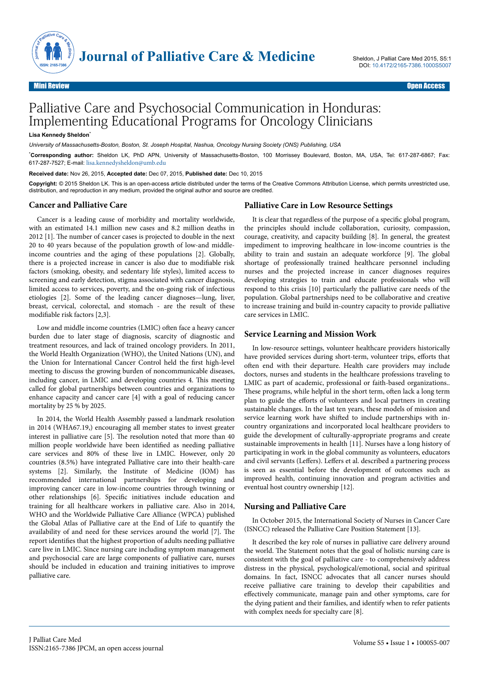

# Palliative Care and Psychosocial Communication in Honduras: Implementing Educational Programs for Oncology Clinicians

#### **Lisa Kennedy Sheldon**\*

*University of Massachusetts-Boston, Boston, St. Joseph Hospital, Nashua, Oncology Nursing Society (ONS) Publishing, USA*

\***Corresponding author:** Sheldon LK, PhD APN, University of Massachusetts-Boston, 100 Morrissey Boulevard, Boston, MA, USA, Tel: 617-287-6867; Fax: 617-287-7527; E-mail: [lisa.kennedysheldon@umb.edu](mailto:lisa.kennedysheldon@umb.edu)

#### **Received date:** Nov 26, 2015, **Accepted date:** Dec 07, 2015, **Published date:** Dec 10, 2015

**Copyright:** © 2015 Sheldon LK. This is an open-access article distributed under the terms of the Creative Commons Attribution License, which permits unrestricted use, distribution, and reproduction in any medium, provided the original author and source are credited.

## **Cancer and Palliative Care**

Cancer is a leading cause of morbidity and mortality worldwide, with an estimated 14.1 million new cases and 8.2 million deaths in 2012 [1]. Нe number of cancer cases is projected to double in the next 20 to 40 years because of the population growth of low-and middleincome countries and the aging of these populations [2]. Globally, there is a projected increase in cancer is also due to modifiable risk factors (smoking, obesity, and sedentary life styles), limited access to screening and early detection, stigma associated with cancer diagnosis, limited access to services, poverty, and the on-going risk of infectious etiologies [2]. Some of the leading cancer diagnoses—lung, liver, breast, cervical, colorectal, and stomach - are the result of these modifiable risk factors [2,3].

Low and middle income countries (LMIC) often face a heavy cancer burden due to later stage of diagnosis, scarcity of diagnostic and treatment resources, and lack of trained oncology providers. In 2011, the World Health Organization (WHO), the United Nations (UN), and the Union for International Cancer Control held the first high-level meeting to discuss the growing burden of noncommunicable diseases, including cancer, in LMIC and developing countries 4. Нis meeting called for global partnerships between countries and organizations to enhance capacity and cancer care [4] with a goal of reducing cancer mortality by 25 % by 2025.

In 2014, the World Health Assembly passed a landmark resolution in 2014 (WHA67.19,) encouraging all member states to invest greater interest in palliative care [5]. Нe resolution noted that more than 40 million people worldwide have been identified as needing palliative care services and 80% of these live in LMIC. However, only 20 countries (8.5%) have integrated Palliative care into their health-care systems [2]. Similarly, the Institute of Medicine (IOM) has recommended international partnerships for developing and improving cancer care in low-income countries through twinning or other relationships [6]. Specific initiatives include education and training for all healthcare workers in palliative care. Also in 2014, WHO and the Worldwide Palliative Care Alliance (WPCA) published the Global Atlas of Palliative care at the End of Life to quantify the availability of and need for these services around the world [7]. Нe report identifies that the highest proportion of adults needing palliative care live in LMIC. Since nursing care including symptom management and psychosocial care are large components of palliative care, nurses should be included in education and training initiatives to improve palliative care.

## **Palliative Care in Low Resource Settings**

It is clear that regardless of the purpose of a specific global program, the principles should include collaboration, curiosity, compassion, courage, creativity, and capacity building [8]. In general, the greatest impediment to improving healthcare in low-income countries is the ability to train and sustain an adequate workforce [9]. Нe global shortage of professionally trained healthcare personnel including nurses and the projected increase in cancer diagnoses requires developing strategies to train and educate professionals who will respond to this crisis [10] particularly the palliative care needs of the population. Global partnerships need to be collaborative and creative to increase training and build in-country capacity to provide palliative care services in LMIC.

# **Service Learning and Mission Work**

In low-resource settings, volunteer healthcare providers historically have provided services during short-term, volunteer trips, efforts that often end with their departure. Health care providers may include doctors, nurses and students in the healthcare professions traveling to LMIC as part of academic, professional or faith-based organizations.. These programs, while helpful in the short term, often lack a long term plan to guide the efforts of volunteers and local partners in creating sustainable changes. In the last ten years, these models of mission and service learning work have shifted to include partnerships with incountry organizations and incorporated local healthcare providers to guide the development of culturally-appropriate programs and create sustainable improvements in health [11]. Nurses have a long history of participating in work in the global community as volunteers, educators and civil servants (Leffers). Leffers et al. described a partnering process is seen as essential before the development of outcomes such as improved health, continuing innovation and program activities and eventual host country ownership [12].

#### **Nursing and Palliative Care**

In October 2015, the International Society of Nurses in Cancer Care (ISNCC) released the Palliative Care Position Statement [13].

It described the key role of nurses in palliative care delivery around the world. Нe Statement notes that the goal of holistic nursing care is consistent with the goal of palliative care - to comprehensively address distress in the physical, psychological/emotional, social and spiritual domains. In fact, ISNCC advocates that all cancer nurses should receive palliative care training to develop their capabilities and effectively communicate, manage pain and other symptoms, care for the dying patient and their families, and identify when to refer patients with complex needs for specialty care [8].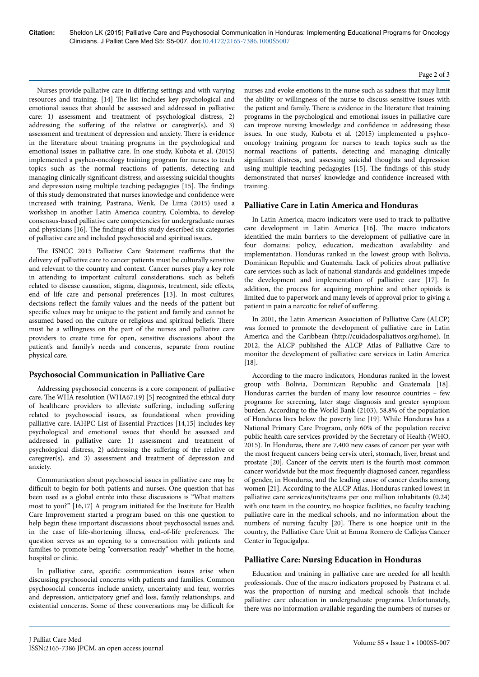#### Page 2 of 3

Nurses provide palliative care in differing settings and with varying resources and training. [14] Нe list includes key psychological and emotional issues that should be assessed and addressed in palliative care: 1) assessment and treatment of psychological distress, 2) addressing the suffering of the relative or caregiver(s), and 3) assessment and treatment of depression and anxiety. Нere is evidence in the literature about training programs in the psychological and emotional issues in palliative care. In one study, Kubota et al. (2015) implemented a psyhco-oncology training program for nurses to teach topics such as the normal reactions of patients, detecting and managing clinically significant distress, and assessing suicidal thoughts and depression using multiple teaching pedagogies [15]. Нe findings of this study demonstrated that nurses knowledge and confidence were increased with training. Pastrana, Wenk, De Lima (2015) used a workshop in another Latin America country, Colombia, to develop consensus-based palliative care competencies for undergraduate nurses and physicians [16]. Нe findings of this study described six categories of palliative care and included psychosocial and spiritual issues.

The ISNCC 2015 Palliative Care Statement reaffirms that the delivery of palliative care to cancer patients must be culturally sensitive and relevant to the country and context. Cancer nurses play a key role in attending to important cultural considerations, such as beliefs related to disease causation, stigma, diagnosis, treatment, side effects, end of life care and personal preferences [13]. In most cultures, decisions reflect the family values and the needs of the patient but specific values may be unique to the patient and family and cannot be assumed based on the culture or religious and spiritual beliefs. Нere must be a willingness on the part of the nurses and palliative care providers to create time for open, sensitive discussions about the patient's and family's needs and concerns, separate from routine physical care.

# **Psychosocial Communication in Palliative Care**

Addressing psychosocial concerns is a core component of palliative care. Нe WHA resolution (WHA67.19) [5] recognized the ethical duty of healthcare providers to alleviate suffering, including suffering related to psychosocial issues, as foundational when providing palliative care. IAHPC List of Essential Practices [14,15] includes key psychological and emotional issues that should be assessed and addressed in palliative care: 1) assessment and treatment of psychological distress, 2) addressing the suffering of the relative or caregiver(s), and 3) assessment and treatment of depression and anxiety.

Communication about psychosocial issues in palliative care may be difficult to begin for both patients and nurses. One question that has been used as a global entrée into these discussions is "What matters most to you?" [16,17] A program initiated for the Institute for Health Care Improvement started a program based on this one question to help begin these important discussions about psychosocial issues and, in the case of life-shortening illness, end-of-life preferences. Нe question serves as an opening to a conversation with patients and families to promote being "conversation ready" whether in the home, hospital or clinic.

In palliative care, specific communication issues arise when discussing psychosocial concerns with patients and families. Common psychosocial concerns include anxiety, uncertainty and fear, worries and depression, anticipatory grief and loss, family relationships, and existential concerns. Some of these conversations may be difficult for

nurses and evoke emotions in the nurse such as sadness that may limit the ability or willingness of the nurse to discuss sensitive issues with the patient and family. Нere is evidence in the literature that training programs in the psychological and emotional issues in palliative care can improve nursing knowledge and confidence in addressing these issues. In one study, Kubota et al. (2015) implemented a psyhcooncology training program for nurses to teach topics such as the normal reactions of patients, detecting and managing clinically significant distress, and assessing suicidal thoughts and depression using multiple teaching pedagogies [15]. Нe findings of this study demonstrated that nurses' knowledge and confidence increased with training.

# **Palliative Care in Latin America and Honduras**

In Latin America, macro indicators were used to track to palliative care development in Latin America [16]. Нe macro indicators identified the main barriers to the development of palliative care in four domains: policy, education, medication availability and implementation. Honduras ranked in the lowest group with Bolivia, Dominican Republic and Guatemala. Lack of policies about palliative care services such as lack of national standards and guidelines impede the development and implementation of palliative care [17]. In addition, the process for acquiring morphine and other opioids is limited due to paperwork and many levels of approval prior to giving a patient in pain a narcotic for relief of suffering.

In 2001, the Latin American Association of Palliative Care (ALCP) was formed to promote the development of palliative care in Latin America and the Caribbean (http://cuidadospaliativos.org/home). In 2012, the ALCP published the ALCP Atlas of Palliative Care to monitor the development of palliative care services in Latin America [18].

According to the macro indicators, Honduras ranked in the lowest group with Bolivia, Dominican Republic and Guatemala [18]. Honduras carries the burden of many low resource countries – few programs for screening, later stage diagnosis and greater symptom burden. According to the World Bank (2103), 58.8% of the population of Honduras lives below the poverty line [19]. While Honduras has a National Primary Care Program, only 60% of the population receive public health care services provided by the Secretary of Health (WHO, 2015). In Honduras, there are 7,400 new cases of cancer per year with the most frequent cancers being cervix uteri, stomach, liver, breast and prostate [20]. Cancer of the cervix uteri is the fourth most common cancer worldwide but the most frequently diagnosed cancer, regardless of gender, in Honduras, and the leading cause of cancer deaths among women [21]. According to the ALCP Atlas, Honduras ranked lowest in palliative care services/units/teams per one million inhabitants (0.24) with one team in the country, no hospice facilities, no faculty teaching palliative care in the medical schools, and no information about the numbers of nursing faculty [20]. Нere is one hospice unit in the country, the Palliative Care Unit at Emma Romero de Callejas Cancer Center in Tegucigalpa.

# **Palliative Care: Nursing Education in Honduras**

Education and training in palliative care are needed for all health professionals. One of the macro indicators proposed by Pastrana et al. was the proportion of nursing and medical schools that include palliative care education in undergraduate programs. Unfortunately, there was no information available regarding the numbers of nurses or